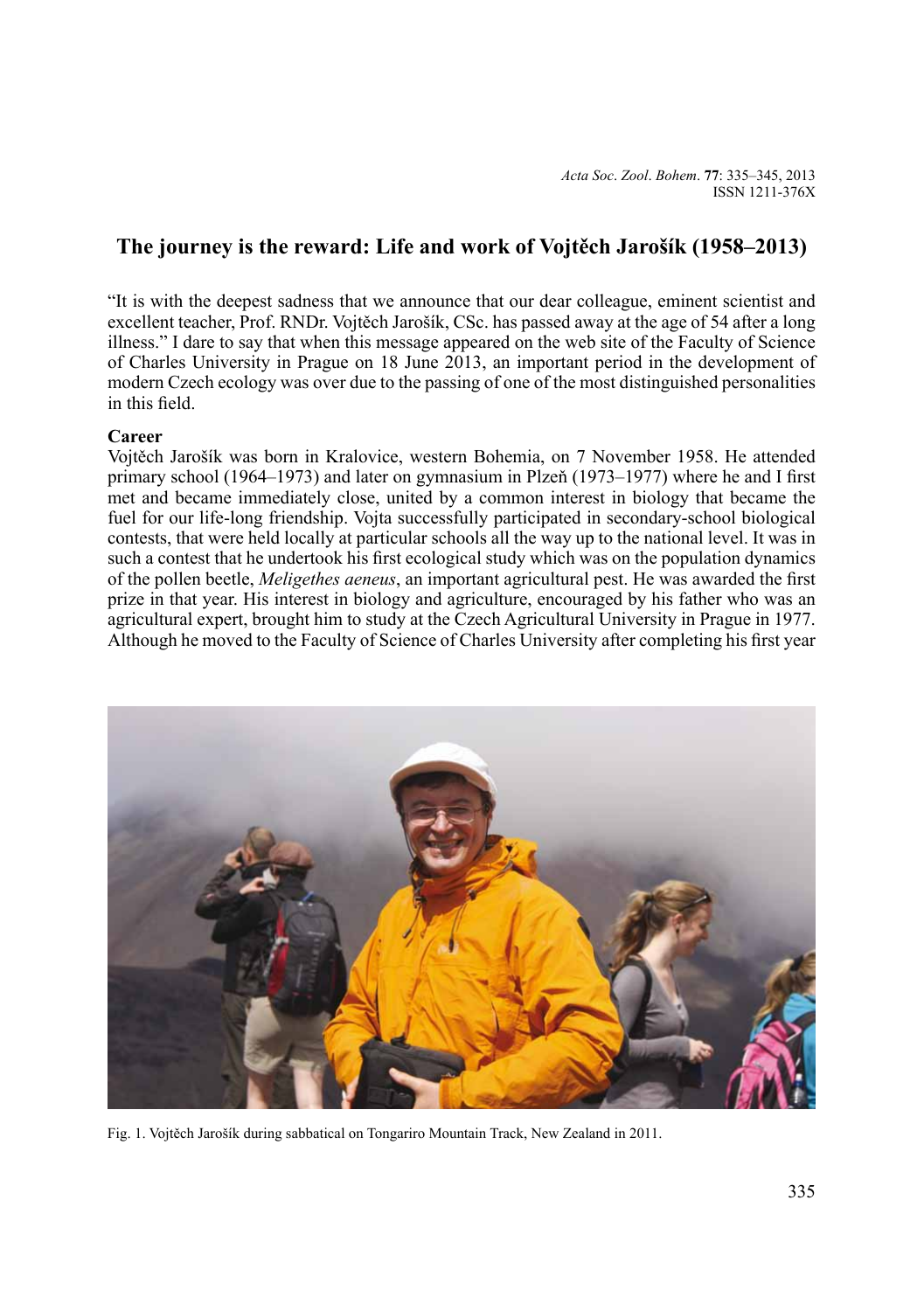*Acta Soc*. *Zool*. *Bohem*. **77**: 335–345, 2013 ISSN 1211-376X

# **The journey is the reward: Life and work of Vojtěch Jarošík (1958–2013)**

"It is with the deepest sadness that we announce that our dear colleague, eminent scientist and excellent teacher, Prof. RNDr. Vojtěch Jarošík, CSc. has passed away at the age of 54 after a long illness." I dare to say that when this message appeared on the web site of the Faculty of Science of Charles University in Prague on 18 June 2013, an important period in the development of modern Czech ecology was over due to the passing of one of the most distinguished personalities in this field.

# **Career**

Vojtěch Jarošík was born in Kralovice, western Bohemia, on 7 November 1958. He attended primary school (1964–1973) and later on gymnasium in Plzeň (1973–1977) where he and I first met and became immediately close, united by a common interest in biology that became the fuel for our life-long friendship. Vojta successfully participated in secondary-school biological contests, that were held locally at particular schools all the way up to the national level. It was in such a contest that he undertook his first ecological study which was on the population dynamics of the pollen beetle, *Meligethes aeneus*, an important agricultural pest. He was awarded the first prize in that year. His interest in biology and agriculture, encouraged by his father who was an agricultural expert, brought him to study at the Czech Agricultural University in Prague in 1977. Although he moved to the Faculty of Science of Charles University after completing his first year



Fig. 1. Vojtěch Jarošík during sabbatical on Tongariro Mountain Track, New Zealand in 2011.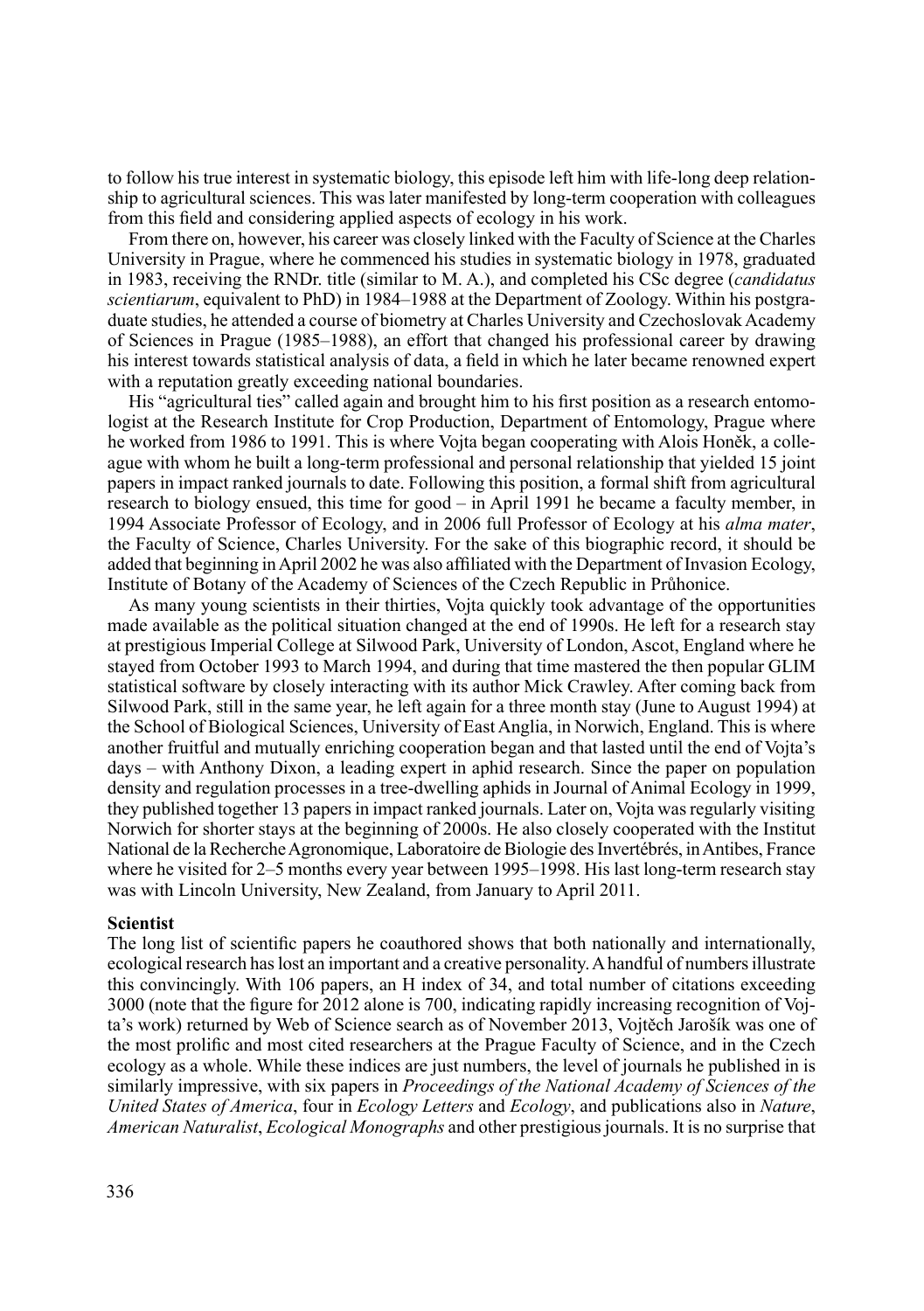to follow his true interest in systematic biology, this episode left him with life-long deep relationship to agricultural sciences. This was later manifested by long-term cooperation with colleagues from this field and considering applied aspects of ecology in his work.

From there on, however, his career was closely linked with the Faculty of Science at the Charles University in Prague, where he commenced his studies in systematic biology in 1978, graduated in 1983, receiving the RNDr. title (similar to M. A.), and completed his CSc degree (*candidatus scientiarum*, equivalent to PhD) in 1984–1988 at the Department of Zoology. Within his postgraduate studies, he attended a course of biometry at Charles University and Czechoslovak Academy of Sciences in Prague (1985–1988), an effort that changed his professional career by drawing his interest towards statistical analysis of data, a field in which he later became renowned expert with a reputation greatly exceeding national boundaries.

His "agricultural ties" called again and brought him to his first position as a research entomologist at the Research Institute for Crop Production, Department of Entomology, Prague where he worked from 1986 to 1991. This is where Vojta began cooperating with Alois Honěk, a colleague with whom he built a long-term professional and personal relationship that yielded 15 joint papers in impact ranked journals to date. Following this position, a formal shift from agricultural research to biology ensued, this time for good – in April 1991 he became a faculty member, in 1994 Associate Professor of Ecology, and in 2006 full Professor of Ecology at his *alma mater*, the Faculty of Science, Charles University. For the sake of this biographic record, it should be added that beginning in April 2002 he was also affiliated with the Department of Invasion Ecology, Institute of Botany of the Academy of Sciences of the Czech Republic in Průhonice.

As many young scientists in their thirties, Vojta quickly took advantage of the opportunities made available as the political situation changed at the end of 1990s. He left for a research stay at prestigious Imperial College at Silwood Park, University of London, Ascot, England where he stayed from October 1993 to March 1994, and during that time mastered the then popular GLIM statistical software by closely interacting with its author Mick Crawley. After coming back from Silwood Park, still in the same year, he left again for a three month stay (June to August 1994) at the School of Biological Sciences, University of East Anglia, in Norwich, England. This is where another fruitful and mutually enriching cooperation began and that lasted until the end of Vojta's days – with Anthony Dixon, a leading expert in aphid research. Since the paper on population density and regulation processes in a tree-dwelling aphids in Journal of Animal Ecology in 1999, they published together 13 papers in impact ranked journals. Later on, Vojta was regularly visiting Norwich for shorter stays at the beginning of 2000s. He also closely cooperated with the Institut National de la Recherche Agronomique, Laboratoire de Biologie des Invertébrés, in Antibes, France where he visited for 2–5 months every year between 1995–1998. His last long-term research stay was with Lincoln University, New Zealand, from January to April 2011.

# **Scientist**

The long list of scientific papers he coauthored shows that both nationally and internationally, ecological research has lost an important and a creative personality. Ahandful of numbers illustrate this convincingly. With 106 papers, an H index of 34, and total number of citations exceeding 3000 (note that the figure for 2012 alone is 700, indicating rapidly increasing recognition of Vojta's work) returned by Web of Science search as of November 2013, Vojtěch Jarošík was one of the most prolific and most cited researchers at the Prague Faculty of Science, and in the Czech ecology as a whole. While these indices are just numbers, the level of journals he published in is similarly impressive, with six papers in *Proceedings of the National Academy of Sciences of the United States of America*, four in *Ecology Letters* and *Ecology*, and publications also in *Nature*, *American Naturalist*, *Ecological Monographs* and other prestigious journals. It is no surprise that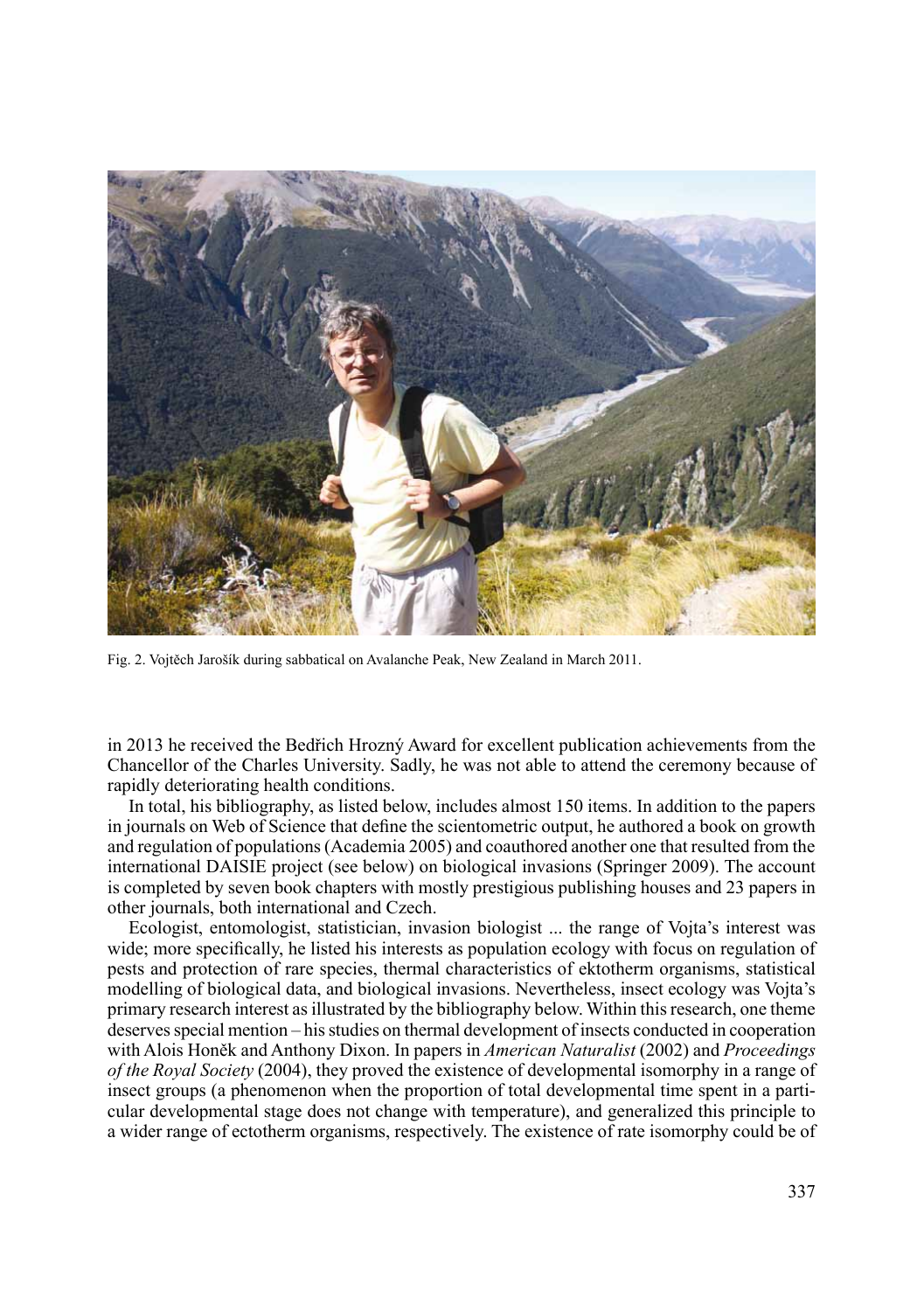

Fig. 2. Vojtěch Jarošík during sabbatical on Avalanche Peak, New Zealand in March 2011.

in 2013 he received the Bedřich Hrozný Award for excellent publication achievements from the Chancellor of the Charles University. Sadly, he was not able to attend the ceremony because of rapidly deteriorating health conditions.

In total, his bibliography, as listed below, includes almost 150 items. In addition to the papers in journals on Web of Science that define the scientometric output, he authored a book on growth and regulation of populations (Academia 2005) and coauthored another one that resulted from the international DAISIE project (see below) on biological invasions (Springer 2009). The account is completed by seven book chapters with mostly prestigious publishing houses and 23 papers in other journals, both international and Czech.

Ecologist, entomologist, statistician, invasion biologist ... the range of Vojta's interest was wide; more specifically, he listed his interests as population ecology with focus on regulation of pests and protection of rare species, thermal characteristics of ektotherm organisms, statistical modelling of biological data, and biological invasions. Nevertheless, insect ecology was Vojta's primary research interest as illustrated by the bibliography below. Within this research, one theme deserves special mention – his studies on thermal development of insects conducted in cooperation with Alois Honěk and Anthony Dixon. In papers in *American Naturalist* (2002) and *Proceedings of the Royal Society* (2004), they proved the existence of developmental isomorphy in a range of insect groups (a phenomenon when the proportion of total developmental time spent in a particular developmental stage does not change with temperature), and generalized this principle to a wider range of ectotherm organisms, respectively. The existence of rate isomorphy could be of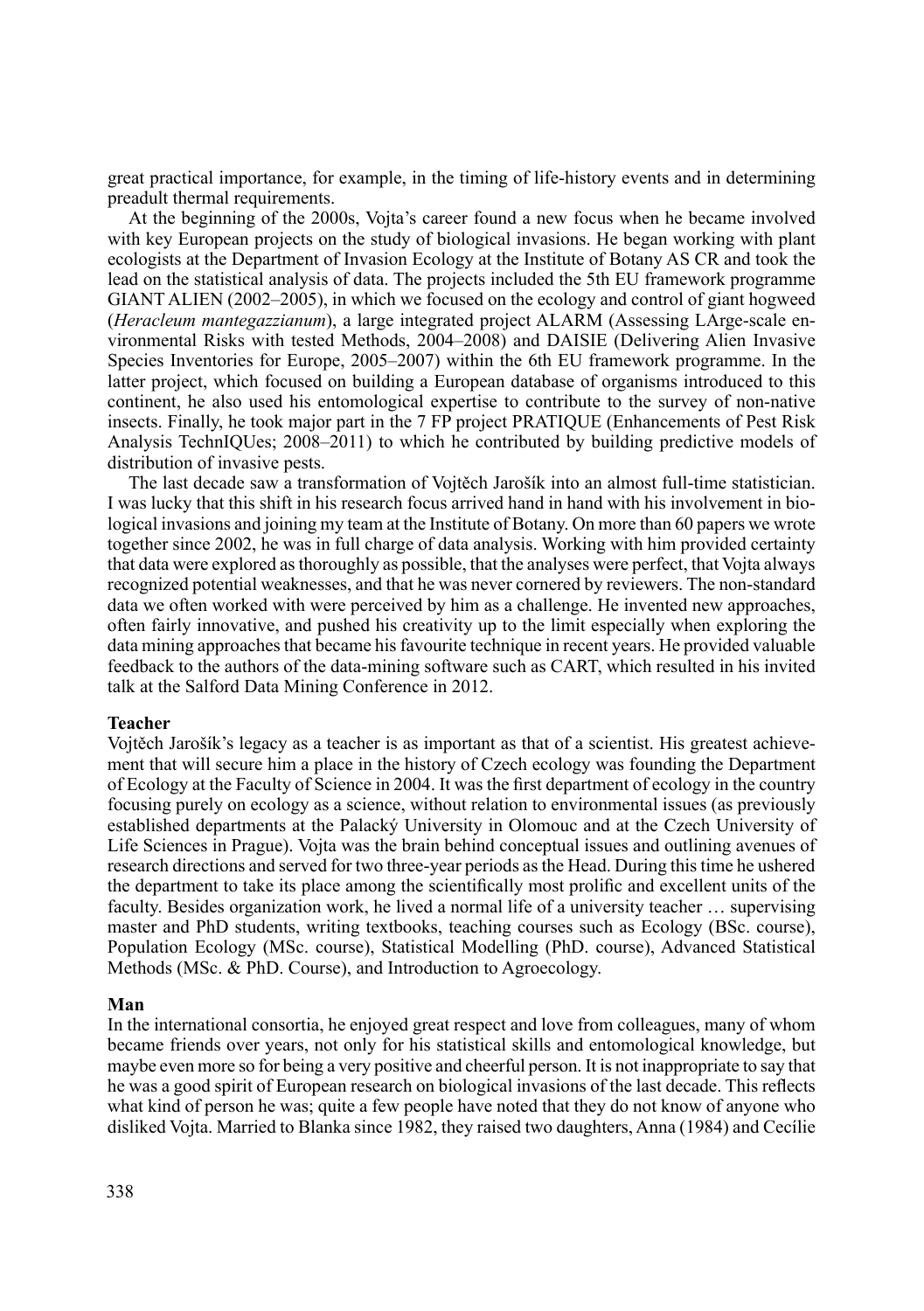great practical importance, for example, in the timing of life-history events and in determining preadult thermal requirements.

At the beginning of the 2000s, Vojta's career found a new focus when he became involved with key European projects on the study of biological invasions. He began working with plant ecologists at the Department of Invasion Ecology at the Institute of Botany AS CR and took the lead on the statistical analysis of data. The projects included the 5th EU framework programme GIANT ALIEN (2002–2005), in which we focused on the ecology and control of giant hogweed (*Heracleum mantegazzianum*), a large integrated project ALARM (Assessing LArge-scale environmental Risks with tested Methods, 2004–2008) and DAISIE (Delivering Alien Invasive Species Inventories for Europe, 2005–2007) within the 6th EU framework programme. In the latter project, which focused on building a European database of organisms introduced to this continent, he also used his entomological expertise to contribute to the survey of non-native insects. Finally, he took major part in the 7 FP project PRATIQUE (Enhancements of Pest Risk Analysis TechnIQUes; 2008–2011) to which he contributed by building predictive models of distribution of invasive pests.

The last decade saw a transformation of Vojtěch Jarošík into an almost full-time statistician. I was lucky that this shift in his research focus arrived hand in hand with his involvement in biological invasions and joining my team at the Institute of Botany. On more than 60 papers we wrote together since 2002, he was in full charge of data analysis. Working with him provided certainty that data were explored as thoroughly as possible, that the analyses were perfect, that Vojta always recognized potential weaknesses, and that he was never cornered by reviewers. The non-standard data we often worked with were perceived by him as a challenge. He invented new approaches, often fairly innovative, and pushed his creativity up to the limit especially when exploring the data mining approaches that became his favourite technique in recent years. He provided valuable feedback to the authors of the data-mining software such as CART, which resulted in his invited talk at the Salford Data Mining Conference in 2012.

# **Teacher**

Vojtěch Jarošík's legacy as a teacher is as important as that of a scientist. His greatest achievement that will secure him a place in the history of Czech ecology was founding the Department of Ecology at the Faculty of Science in 2004. It was the first department of ecology in the country focusing purely on ecology as a science, without relation to environmental issues (as previously established departments at the Palacký University in Olomouc and at the Czech University of Life Sciences in Prague). Vojta was the brain behind conceptual issues and outlining avenues of research directions and served for two three-year periods as the Head. During this time he ushered the department to take its place among the scientifically most prolific and excellent units of the faculty. Besides organization work, he lived a normal life of a university teacher … supervising master and PhD students, writing textbooks, teaching courses such as Ecology (BSc. course), Population Ecology (MSc. course), Statistical Modelling (PhD. course), Advanced Statistical Methods (MSc. & PhD. Course), and Introduction to Agroecology.

# **Man**

In the international consortia, he enjoyed great respect and love from colleagues, many of whom became friends over years, not only for his statistical skills and entomological knowledge, but maybe even more so for being a very positive and cheerful person. It is not inappropriate to say that he was a good spirit of European research on biological invasions of the last decade. This reflects what kind of person he was; quite a few people have noted that they do not know of anyone who disliked Vojta. Married to Blanka since 1982, they raised two daughters, Anna (1984) and Cecílie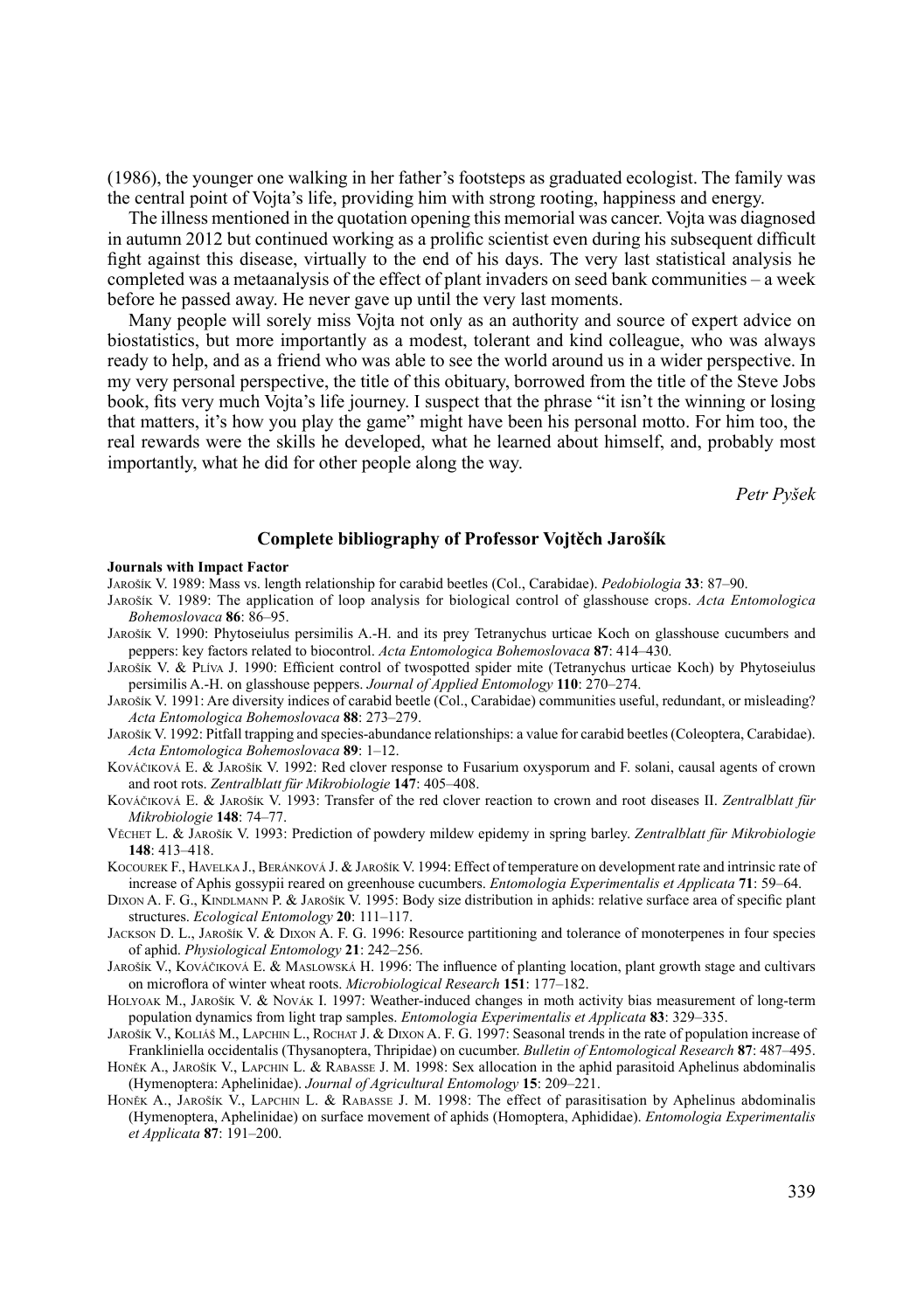(1986), the younger one walking in her father's footsteps as graduated ecologist. The family was the central point of Vojta's life, providing him with strong rooting, happiness and energy.

The illness mentioned in the quotation opening this memorial was cancer. Vojta was diagnosed in autumn 2012 but continued working as a prolific scientist even during his subsequent difficult fight against this disease, virtually to the end of his days. The very last statistical analysis he completed was a metaanalysis of the effect of plant invaders on seed bank communities – a week before he passed away. He never gave up until the very last moments.

Many people will sorely miss Vojta not only as an authority and source of expert advice on biostatistics, but more importantly as a modest, tolerant and kind colleague, who was always ready to help, and as a friend who was able to see the world around us in a wider perspective. In my very personal perspective, the title of this obituary, borrowed from the title of the Steve Jobs book, fits very much Vojta's life journey. I suspect that the phrase "it isn't the winning or losing that matters, it's how you play the game" might have been his personal motto. For him too, the real rewards were the skills he developed, what he learned about himself, and, probably most importantly, what he did for other people along the way.

*Petr Pyšek*

## **Complete bibliography of Professor Vojtěch Jarošík**

#### **Journals with Impact Factor**

- Jarošík V. 1989: Mass vs. length relationship for carabid beetles (Col., Carabidae). *Pedobiologia* **33**: 87–90.
- Jarošík V. 1989: The application of loop analysis for biological control of glasshouse crops. *Acta Entomologica Bohemoslovaca* **86**: 86–95.
- Jarošík V. 1990: Phytoseiulus persimilis A.-H. and its prey Tetranychus urticae Koch on glasshouse cucumbers and peppers: key factors related to biocontrol. *Acta Entomologica Bohemoslovaca* **87**: 414–430.
- Jarošík V. & Plíva J. 1990: Efficient control of twospotted spider mite (Tetranychus urticae Koch) by Phytoseiulus persimilis A.-H. on glasshouse peppers. *Journal of Applied Entomology* **110**: 270–274.
- Jarošík V. 1991: Are diversity indices of carabid beetle (Col., Carabidae) communities useful, redundant, or misleading? *Acta Entomologica Bohemoslovaca* **88**: 273–279.
- Jarošík V. 1992: Pitfall trapping and species-abundance relationships: a value for carabid beetles (Coleoptera, Carabidae). *Acta Entomologica Bohemoslovaca* **89**: 1–12.
- Kováčiková E. & Jarošík V. 1992: Red clover response to Fusarium oxysporum and F. solani, causal agents of crown and root rots. *Zentralblatt für Mikrobiologie* **147**: 405–408.
- Kováčiková E. & Jarošík V. 1993: Transfer of the red clover reaction to crown and root diseases II. *Zentralblatt für Mikrobiologie* **148**: 74–77.
- Věchet L. & Jarošík V. 1993: Prediction of powdery mildew epidemy in spring barley. *Zentralblatt für Mikrobiologie* **148**: 413–418.
- KOCOUREK F., HAVELKA J., BERÁNKOVÁ J. & JAROŠÍK V. 1994: Effect of temperature on development rate and intrinsic rate of increase of Aphis gossypii reared on greenhouse cucumbers. *Entomologia Experimentalis et Applicata* **71**: 59–64.
- DIXON A. F. G., KINDLMANN P. & JAROŠÍK V. 1995: Body size distribution in aphids: relative surface area of specific plant structures. *Ecological Entomology* **20**: 111–117.
- Jackson D. L., Jarošík V. & Dixon A. F. G. 1996: Resource partitioning and tolerance of monoterpenes in four species of aphid. *Physiological Entomology* **21**: 242–256.
- Jarošík V., Kováčiková E. & Maslowská H. 1996: The influence of planting location, plant growth stage and cultivars on microflora of winter wheat roots. *Microbiological Research* **151**: 177–182.
- Holyoak M., Jarošík V. & Novák I. 1997: Weather-induced changes in moth activity bias measurement of long-term population dynamics from light trap samples. *Entomologia Experimentalis et Applicata* **83**: 329–335.
- Jarošík V., Koliáš M., Lapchin L., Rochat J. & Dixon A. F. G. 1997: Seasonal trends in the rate of population increase of Frankliniella occidentalis (Thysanoptera, Thripidae) on cucumber. *Bulletin of Entomological Research* **87**: 487–495.
- HONĚK A., JAROŠÍK V., LAPCHIN L. & RABASSE J. M. 1998: Sex allocation in the aphid parasitoid Aphelinus abdominalis (Hymenoptera: Aphelinidae). *Journal of Agricultural Entomology* **15**: 209–221.
- HONĚK A., JAROŠÍK V., LAPCHIN L. & RABASSE J. M. 1998: The effect of parasitisation by Aphelinus abdominalis (Hymenoptera, Aphelinidae) on surface movement of aphids (Homoptera, Aphididae). *Entomologia Experimentalis et Applicata* **87**: 191–200.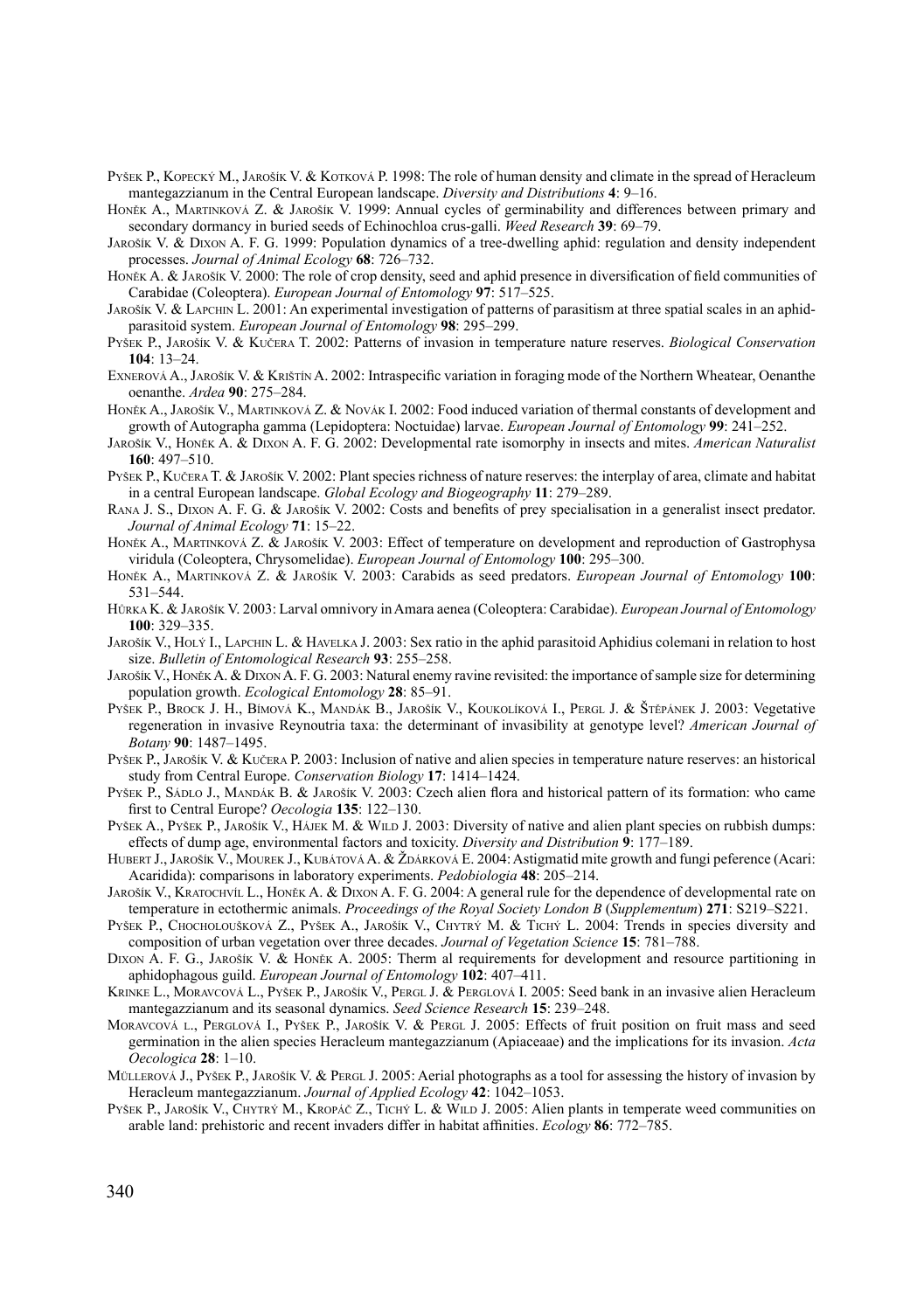- PYŠEK P., KOPECKÝ M., JAROŠÍK V. & KOTKOVÁ P. 1998: The role of human density and climate in the spread of Heracleum mantegazzianum in the Central European landscape. *Diversity and Distributions* **4**: 9–16.
- Honěk A., Martinková Z. & Jarošík V. 1999: Annual cycles of germinability and differences between primary and secondary dormancy in buried seeds of Echinochloa crus-galli. *Weed Research* **39**: 69–79.
- Jarošík V. & Dixon A. F. G. 1999: Population dynamics of a tree-dwelling aphid: regulation and density independent processes. *Journal of Animal Ecology* **68**: 726–732.
- Honěk A. & Jarošík V. 2000: The role of crop density, seed and aphid presence in diversification of field communities of Carabidae (Coleoptera). *European Journal of Entomology* **97**: 517–525.
- Jarošík V. & Lapchin L. 2001: An experimental investigation of patterns of parasitism at three spatial scales in an aphidparasitoid system. *European Journal of Entomology* **98**: 295–299.
- Pyšek P., Jarošík V. & Kučera T. 2002: Patterns of invasion in temperature nature reserves. *Biological Conservation* **104**: 13–24.
- Exnerová A., Jarošík V. & Krištín A. 2002: Intraspecific variation in foraging mode of the Northern Wheatear, Oenanthe oenanthe. *Ardea* **90**: 275–284.
- HONĚK A., JAROŠÍK V., MARTINKOVÁ Z. & NOVÁK I. 2002: Food induced variation of thermal constants of development and growth of Autographa gamma (Lepidoptera: Noctuidae) larvae. *European Journal of Entomology* **99**: 241–252.
- Jarošík V., Honěk A. & Dixon A. F. G. 2002: Developmental rate isomorphy in insects and mites. *American Naturalist* **160**: 497–510.
- PYŠEK P., KUČERA T. & JAROŠÍK V. 2002: Plant species richness of nature reserves: the interplay of area, climate and habitat in a central European landscape. *Global Ecology and Biogeography* **11**: 279–289.
- Rana J. S., Dixon A. F. G. & Jarošík V. 2002: Costs and benefits of prey specialisation in a generalist insect predator. *Journal of Animal Ecology* **71**: 15–22.
- Honěk A., Martinková Z. & Jarošík V. 2003: Effect of temperature on development and reproduction of Gastrophysa viridula (Coleoptera, Chrysomelidae). *European Journal of Entomology* **100**: 295–300.
- Honěk A., Martinková Z. & Jarošík V. 2003: Carabids as seed predators. *European Journal of Entomology* **100**: 531–544.
- Hůrka K. & Jarošík V. 2003: Larval omnivory in Amara aenea (Coleoptera: Carabidae). *European Journal of Entomology* **100**: 329–335.
- Jarošík V., Holý I., Lapchin L. & Havelka J. 2003: Sex ratio in the aphid parasitoid Aphidius colemani in relation to host size. *Bulletin of Entomological Research* **93**: 255–258.
- Jarošík V., Honěk A. & Dixon A. F. G. 2003: Natural enemy ravine revisited: the importance of sample size for determining population growth. *Ecological Entomology* **28**: 85–91.
- Pyšek P., Brock J. H., Bímová K., Mandák B., Jarošík V., Koukolíková I., Pergl J. & Štěpánek J. 2003: Vegetative regeneration in invasive Reynoutria taxa: the determinant of invasibility at genotype level? *American Journal of Botany* **90**: 1487–1495.
- Pyšek P., Jarošík V. & Kučera P. 2003: Inclusion of native and alien species in temperature nature reserves: an historical study from Central Europe. *Conservation Biology* **17**: 1414–1424.
- PYŠEK P., SÁDLO J., MANDÁK B. & JAROŠÍK V. 2003: Czech alien flora and historical pattern of its formation: who came first to Central Europe? *Oecologia* **135**: 122–130.
- Pyšek A., Pyšek P., Jarošík V., Hájek M. & Wild J. 2003: Diversity of native and alien plant species on rubbish dumps: effects of dump age, environmental factors and toxicity. *Diversity and Distribution* **9**: 177–189.
- HUBERT J., JAROŠÍK V., MOUREK J., KUBÁTOVÁ A. & ŽDÁRKOVÁ E. 2004: Astigmatid mite growth and fungi peference (Acari: Acaridida): comparisons in laboratory experiments. *Pedobiologia* **48**: 205–214.
- Jarošík V., Kratochvíl L., Honěk A. & Dixon A. F. G. 2004: A general rule for the dependence of developmental rate on temperature in ectothermic animals. *Proceedings of the Royal Society London B* (*Supplementum*) **271**: S219–S221.
- Pyšek P., Chocholoušková Z., Pyšek A., Jarošík V., Chytrý M. & Tichý L. 2004: Trends in species diversity and composition of urban vegetation over three decades. *Journal of Vegetation Science* **15**: 781–788.
- Dixon A. F. G., Jarošík V. & Honěk A. 2005: Therm al requirements for development and resource partitioning in aphidophagous guild. *European Journal of Entomology* **102**: 407–411.
- KRINKE L., MORAVCOVÁ L., PYŠEK P., JAROŠÍK V., PERGL J. & PERGLOVÁ I. 2005: Seed bank in an invasive alien Heracleum mantegazzianum and its seasonal dynamics. *Seed Science Research* **15**: 239–248.
- Moravcová l., Perglová I., Pyšek P., Jarošík V. & Pergl J. 2005: Effects of fruit position on fruit mass and seed germination in the alien species Heracleum mantegazzianum (Apiaceaae) and the implications for its invasion. *Acta Oecologica* **28**: 1–10.
- MÜLLEROVÁ J., PYŠEK P., JAROŠÍK V. & PERGL J. 2005: Aerial photographs as a tool for assessing the history of invasion by Heracleum mantegazzianum. *Journal of Applied Ecology* **42**: 1042–1053.
- Pyšek P., Jarošík V., Chytrý M., Kropáč Ž., Tichý L. & Wild J. 2005: Alien plants in temperate weed communities on arable land: prehistoric and recent invaders differ in habitat affinities. *Ecology* **86**: 772–785.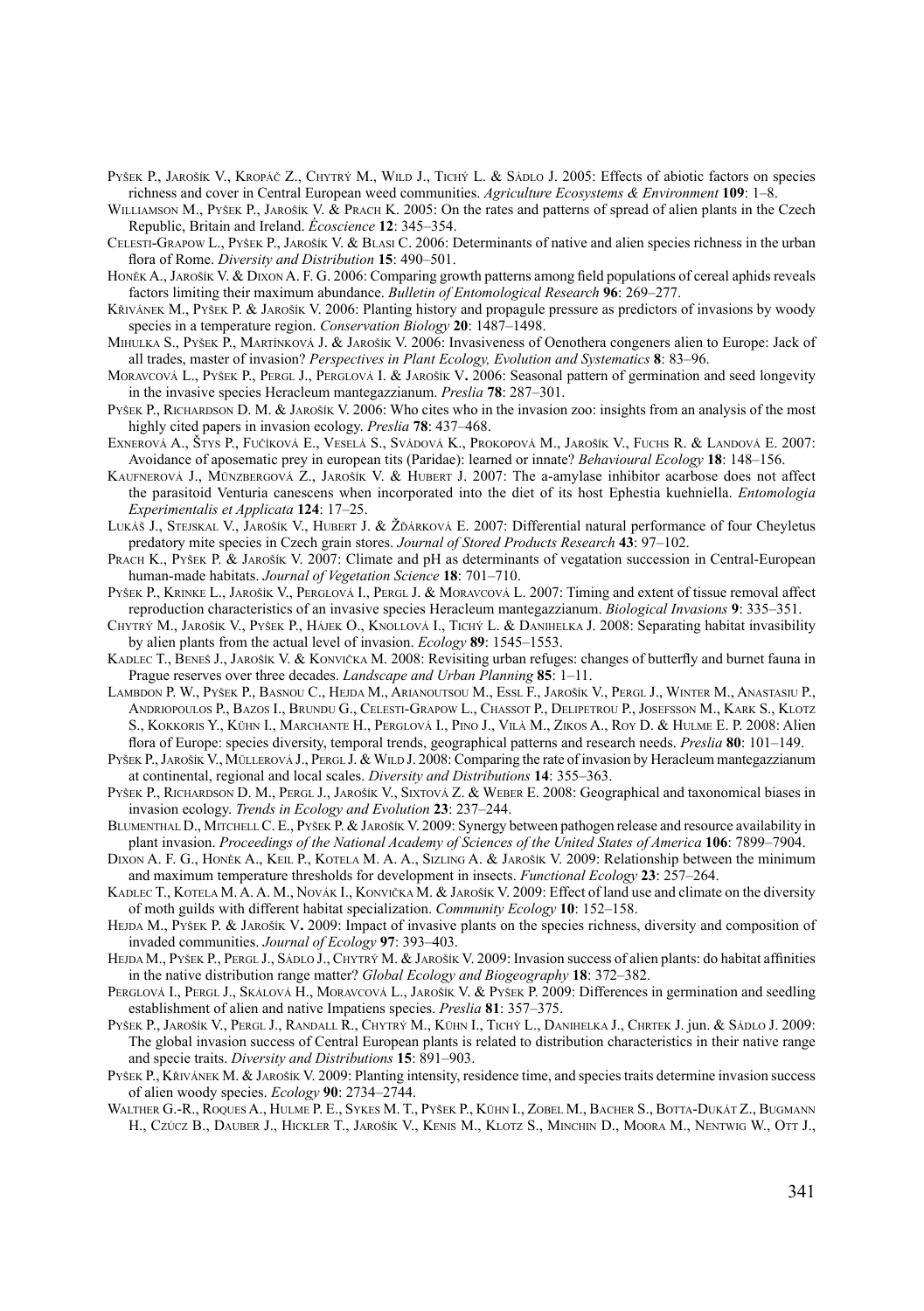- PYŠEK P., JAROŠÍK V., KROPÁČ Z., CHYTRÝ M., WILD J., TICHÝ L. & SÁDLO J. 2005: Effects of abiotic factors on species richness and cover in Central European weed communities. *Agriculture Ecosystems & Environment* **109**: 1–8.
- WILLIAMSON M., PYŠEK P., JAROŠÍK V. & PRACH K. 2005: On the rates and patterns of spread of alien plants in the Czech Republic, Britain and Ireland. *Écoscience* **12**: 345–354.
- Celesti-Grapow L., Pyšek P., Jarošík V. & Blasi C. 2006: Determinants of native and alien species richness in the urban flora of Rome. *Diversity and Distribution* **15**: 490–501.
- Honěk A., Jarošík V. & Dixon A. F. G. 2006: Comparing growth patterns among field populations of cereal aphids reveals factors limiting their maximum abundance. *Bulletin of Entomological Research* **96**: 269–277.
- Křivánek M., Pyšek P. & Jarošík V. 2006: Planting history and propagule pressure as predictors of invasions by woody species in a temperature region. *Conservation Biology* **20**: 1487–1498.
- Mihulka S., Pyšek P., Martínková J. & Jarošík V. 2006: Invasiveness of Oenothera congeners alien to Europe: Jack of all trades, master of invasion? *Perspectives in Plant Ecology, Evolution and Systematics* **8**: 83–96.
- Moravcová L., Pyšek P., Pergl J., Perglová I. & Jarošík V**.** 2006: Seasonal pattern of germination and seed longevity in the invasive species Heracleum mantegazzianum. *Preslia* **78**: 287–301.
- Pyšek P., Richardson D. M. & Jarošík V. 2006: Who cites who in the invasion zoo: insights from an analysis of the most highly cited papers in invasion ecology. *Preslia* **78**: 437–468.
- Exnerová A., Štys P., Fučíková E., Veselá S., Svádová K., Prokopová M., Jarošík V., Fuchs R. & Landová E. 2007: Avoidance of aposematic prey in european tits (Paridae): learned or innate? *Behavioural Ecology* **18**: 148–156.
- Kaufnerová J., Münzbergová Z., Jarošík V. & Hubert J. 2007: The a-amylase inhibitor acarbose does not affect the parasitoid Venturia canescens when incorporated into the diet of its host Ephestia kuehniella. *Entomologia Experimentalis et Applicata* **124**: 17–25.
- LUKÁŠ J., STEJSKAL V., JAROŠÍK V., HUBERT J. & ŽĎÁRKOVÁ E. 2007: Differential natural performance of four Cheyletus predatory mite species in Czech grain stores. *Journal of Stored Products Research* **43**: 97–102.
- PRACH K., PYŠEK P. & JAROŠÍK V. 2007: Climate and pH as determinants of vegatation succession in Central-European human-made habitats. *Journal of Vegetation Science* **18**: 701–710.
- Pyšek P., Krinke L., Jarošík V., Perglová I., Pergl J. & Moravcová L. 2007: Timing and extent of tissue removal affect reproduction characteristics of an invasive species Heracleum mantegazzianum. *Biological Invasions* **9**: 335–351.
- Chytrý M., Jarošík V., Pyšek P., Hájek O., Knollová I., Tichý L. & Danihelka J. 2008: Separating habitat invasibility by alien plants from the actual level of invasion. *Ecology* **89**: 1545–1553.
- Kadlec T., Beneš J., Jarošík V. & Konvička M. 2008: Revisiting urban refuges: changes of butterfly and burnet fauna in Prague reserves over three decades. *Landscape and Urban Planning* **85**: 1–11.
- Lambdon P. W., Pyšek P., Basnou C., Hejda M., Arianoutsou M., Essl F., Jarošík V., Pergl J., Winter M., Anastasiu P., Andriopoulos P., Bazos I., Brundu G., Celesti-Grapow L., Chassot P., Delipetrou P., Josefsson M., Kark S., Klotz S., Kokkoris Y., Kühn I., Marchante H., Perglová I., Pino J., Vilà M., Zikos A., Roy D. & Hulme E. P. 2008: Alien flora of Europe: species diversity, temporal trends, geographical patterns and research needs. *Preslia* **80**: 101–149.
- Pyšek P., Jarošík V., Müllerová J., Pergl J. & Wild J. 2008: Comparing the rate of invasion by Heracleum mantegazzianum at continental, regional and local scales. *Diversity and Distributions* **14**: 355–363.
- PYŠEK P., RICHARDSON D. M., PERGL J., JAROŠÍK V., SIXTOVÁ Z. & WEBER E. 2008: Geographical and taxonomical biases in invasion ecology. *Trends in Ecology and Evolution* **23**: 237–244.
- BLUMENTHAL D., MITCHELL C. E., PYŠEK P. & JAROŠÍK V. 2009: Synergy between pathogen release and resource availability in plant invasion. *Proceedings of the National Academy of Sciences of the United States of America* **106**: 7899–7904.
- Dixon A. F. G., Honěk A., Keil P., Kotela M. A. A., Sizling A. & Jarošík V. 2009: Relationship between the minimum and maximum temperature thresholds for development in insects. *Functional Ecology* **23**: 257–264.
- Kadlec T., Kotela M. A. A. M., Novák I., Konvička M. & Jarošík V. 2009: Effect of land use and climate on the diversity of moth guilds with different habitat specialization. *Community Ecology* **10**: 152–158.
- HEJDA M., Pyšek P. & Jarošík V. 2009: Impact of invasive plants on the species richness, diversity and composition of invaded communities. *Journal of Ecology* **97**: 393–403.
- HEJDA M., PYŠEK P., PERGL J., SÁDLO J., CHYTRÝ M. & JAROŠÍK V. 2009: Invasion success of alien plants: do habitat affinities in the native distribution range matter? *Global Ecology and Biogeography* **18**: 372–382.
- PERGLOVÁ I., PERGL J., SKÁLOVÁ H., MORAVCOVÁ L., JAROŠÍK V. & PYŠEK P. 2009: Differences in germination and seedling establishment of alien and native Impatiens species. *Preslia* **81**: 357–375.
- Pyšek P., Jarošík V., Pergl J., Randall R., Chytrý M., Kühn I., Tichý L., Danihelka J., Chrtek J. jun. & Sádlo J. 2009: The global invasion success of Central European plants is related to distribution characteristics in their native range and specie traits. *Diversity and Distributions* **15**: 891–903.
- Pyšek P., Křivánek M. & Jarošík V. 2009: Planting intensity, residence time, and species traits determine invasion success of alien woody species. *Ecology* **90**: 2734–2744.
- WALTHER G.-R., ROQUES A., HULME P. E., SYKES M. T., PYŠEK P., KÜHN I., ZOBEL M., BACHER S., BOTTA-DUKÁT Z., BUGMANN H., Czúcz B., Dauber J., Hickler T., Jarošík V., Kenis M., Klotz S., Minchin D., Moora M., Nentwig W., Ott J.,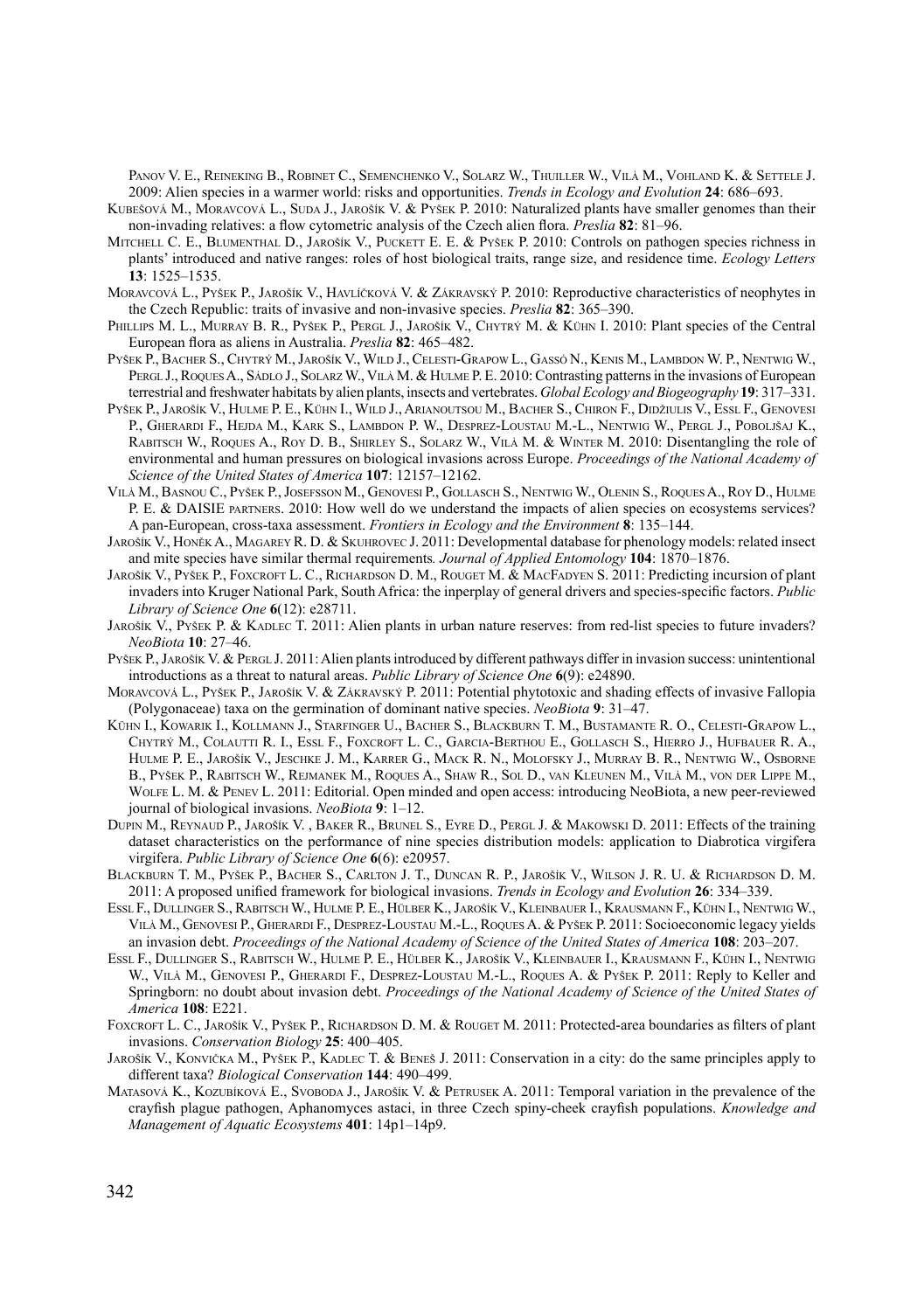Panov V. E., Reineking B., Robinet C., Semenchenko V., Solarz W., Thuiller W., Vilà M., Vohland K. & Settele J. 2009: Alien species in a warmer world: risks and opportunities. *Trends in Ecology and Evolution* **24**: 686–693.

- KUBEŠOVÁ M., MORAVCOVÁ L., SUDA J., JAROŠÍK V. & PYŠEK P. 2010: Naturalized plants have smaller genomes than their non-invading relatives: a flow cytometric analysis of the Czech alien flora. *Preslia* **82**: 81–96.
- MITCHELL C. E., BLUMENTHAL D., JAROŠÍK V., PUCKETT E. E. & PYŠEK P. 2010: Controls on pathogen species richness in plants' introduced and native ranges: roles of host biological traits, range size, and residence time. *Ecology Letters* **13**: 1525–1535.
- Moravcová L., Pyšek P., Jarošík V., Havlíčková V. & Zákravský P. 2010: Reproductive characteristics of neophytes in the Czech Republic: traits of invasive and non-invasive species. *Preslia* **82**: 365–390.
- PHILLIPS M. L., MURRAY B. R., PYŠEK P., PERGL J., JAROŠÍK V., CHYTRÝ M. & KÜHN I. 2010: Plant species of the Central European flora as aliens in Australia. *Preslia* **82**: 465–482.
- Pyšek P., Bacher S., Chytrý M., Jarošík V., Wild J., Celesti-Grapow L., Gassó N., Kenis M., Lambdon W. P., Nentwig W., PERGL J., ROQUES A., SÁDLO J., SOLARZ W., VILÀ M. & HULME P. E. 2010: Contrasting patterns in the invasions of European terrestrial and freshwater habitats by alien plants, insects and vertebrates. *Global Ecology and Biogeography* **19**: 317–331.
- Pyšek P., Jarošík V., Hulme P. E., Kühn I., Wild J., Arianoutsou M., Bacher S., Chiron F., Didžiulis V., Essl F., Genovesi P., GHERARDI F., HEJDA M., KARK S., LAMBDON P. W., DESPREZ-LOUSTAU M.-L., NENTWIG W., PERGL J., POBOLJŠAJ K., Rabitsch W., Roques A., Roy D. B., Shirley S., Solarz W., Vilà M. & Winter M. 2010: Disentangling the role of environmental and human pressures on biological invasions across Europe. *Proceedings of the National Academy of Science of the United States of America* **107**: 12157–12162.
- Vilà M., Basnou C., Pyšek P., Josefsson M., Genovesi P., Gollasch S., Nentwig W., Olenin S., RoquesA., Roy D., Hulme P. E. & DAISIE partners. 2010: How well do we understand the impacts of alien species on ecosystems services? A pan-European, cross-taxa assessment. *Frontiers in Ecology and the Environment* **8**: 135–144.
- Jarošík V., Honěk A., Magarey R. D. & Skuhrovec J. 2011: Developmental database for phenology models: related insect and mite species have similar thermal requirements*. Journal of Applied Entomology* **104**: 1870–1876.
- Jarošík V., Pyšek P., Foxcroft L. C., Richardson D. M., Rouget M. & MacFadyen S. 2011: Predicting incursion of plant invaders into Kruger National Park, South Africa: the inperplay of general drivers and species-specific factors. *Public Library of Science One* **6**(12): e28711.
- Jarošík V., Pyšek P. & KADLEC T. 2011: Alien plants in urban nature reserves: from red-list species to future invaders? *NeoBiota* **10**: 27–46.
- Pyšek P., Jarošík V. & Pergl. J. 2011: Alien plants introduced by different pathways differ in invasion success: unintentional introductions as a threat to natural areas. *Public Library of Science One* **6**(9): e24890.
- Moravcová L., Pyšek P., Jarošík V. & Zákravský P. 2011: Potential phytotoxic and shading effects of invasive Fallopia (Polygonaceae) taxa on the germination of dominant native species. *NeoBiota* **9**: 31–47.
- Kühn I., Kowarik I., Kollmann J., Starfinger U., Bacher S., Blackburn T. M., Bustamante R. O., Celesti-Grapow L., Chytrý M., Colautti R. I., Essl F., Foxcroft L. C., Garcia-Berthou E., Gollasch S., Hierro J., Hufbauer R. A., Hulme P. E., Jarošík V., Jeschke J. M., Karrer G., Mack R. N., Molofsky J., Murray B. R., Nentwig W., Osborne B., Pyšek P., Rabitsch W., Rejmanek M., Roques A., Shaw R., Sol D., van Kleunen M., Vilà M., von der Lippe M., WOLFE L. M. & PENEV L. 2011: Editorial. Open minded and open access: introducing NeoBiota, a new peer-reviewed journal of biological invasions. *NeoBiota* **9**: 1–12.
- DUPIN M., REYNAUD P., JAROŠÍK V., BAKER R., BRUNEL S., EYRE D., PERGL J. & MAKOWSKI D. 2011: Effects of the training dataset characteristics on the performance of nine species distribution models: application to Diabrotica virgifera virgifera. *Public Library of Science One* **6**(6): e20957.
- Blackburn T. M., Pyšek P., Bacher S., Carlton J. T., Duncan R. P., Jarošík V., Wilson J. R. U. & Richardson D. M. 2011: A proposed unified framework for biological invasions. *Trends in Ecology and Evolution* **26**: 334–339.
- Essl F., Dullinger S., RabitschW., Hulme P. E., Hülber K., Jarošík V., Kleinbauer I., Krausmann F., Kühn I., NentwigW., VILÀ M., GENOVESI P., GHERARDI F., DESPREZ-LOUSTAU M.-L., ROQUES A. & PYŠEK P. 2011: Socioeconomic legacy yields an invasion debt. *Proceedings of the National Academy of Science of the United States of America* **108**: 203–207.
- Essl F., Dullinger S., Rabitsch W., Hulme P. E., Hülber K., Jarošík V., Kleinbauer I., Krausmann F., Kühn I., Nentwig W., VILÀ M., GENOVESI P., GHERARDI F., DESPREZ-LOUSTAU M.-L., ROQUES A. & PYŠEK P. 2011: Reply to Keller and Springborn: no doubt about invasion debt. *Proceedings of the National Academy of Science of the United States of America* **108**: E221.
- FOXCROFT L. C., JAROŠÍK V., PYŠEK P., RICHARDSON D. M. & ROUGET M. 2011: Protected-area boundaries as filters of plant invasions. *Conservation Biology* **25**: 400–405.
- Jarošík V., Konvička M., Pyšek P., Kadlec T. & Beneš J. 2011: Conservation in a city: do the same principles apply to different taxa? *Biological Conservation* **144**: 490–499.
- MATASOVÁ K., KOZUBÍKOVÁ E., SVOBODA J., JAROŠÍK V. & PETRUSEK A. 2011: Temporal variation in the prevalence of the crayfish plague pathogen, Aphanomyces astaci, in three Czech spiny-cheek crayfish populations. *Knowledge and Management of Aquatic Ecosystems* **401**: 14p1–14p9.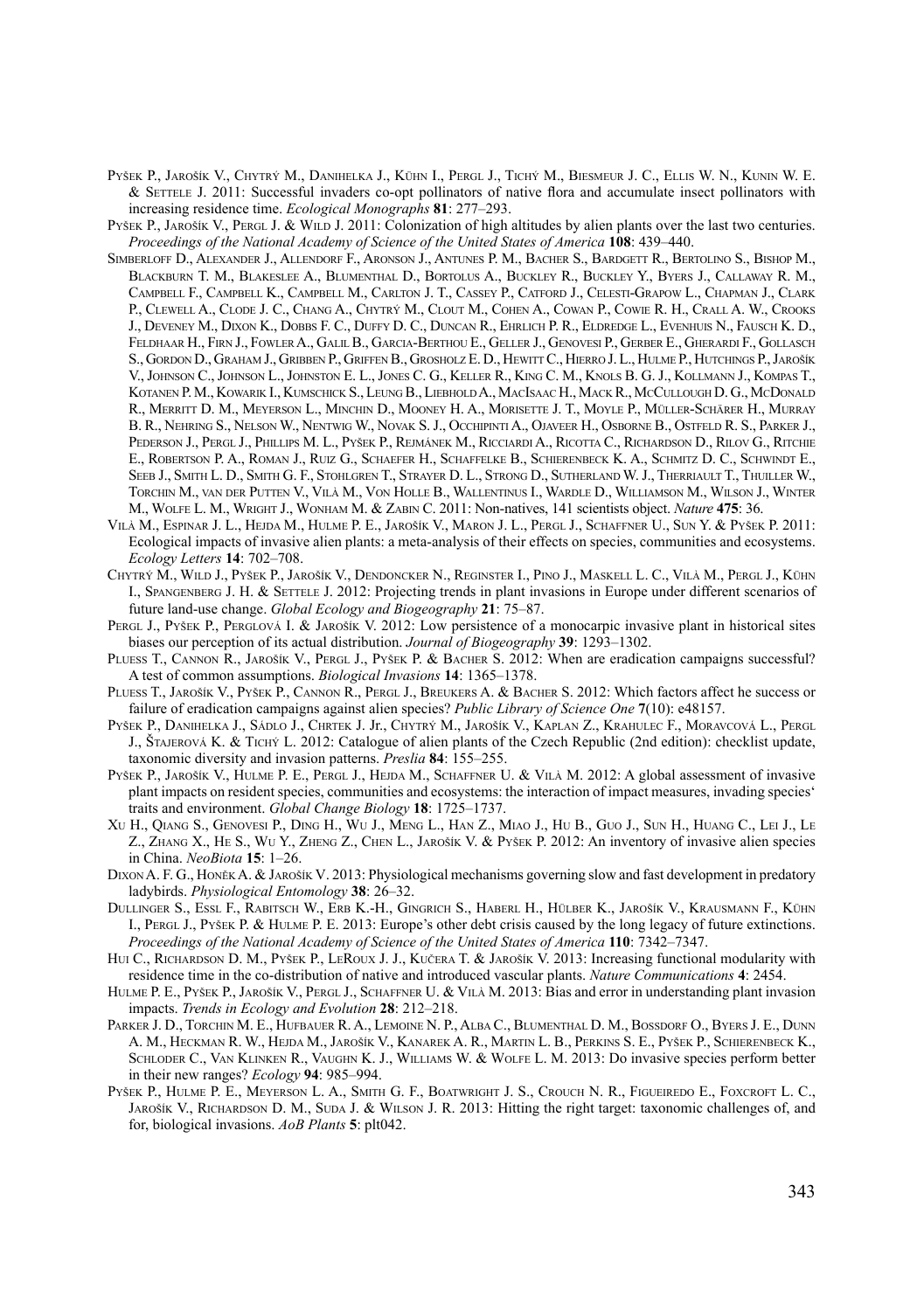- Pyšek P., Jarošík V., Chytrý M., Danihelka J., Kühn I., Pergl J., Tichý M., Biesmeur J. C., Ellis W. N., Kunin W. E. & Settele J. 2011: Successful invaders co-opt pollinators of native flora and accumulate insect pollinators with increasing residence time. *Ecological Monographs* **81**: 277–293.
- Pyšek P., Jarošík V., Pergl J. & Wild J. 2011: Colonization of high altitudes by alien plants over the last two centuries. *Proceedings of the National Academy of Science of the United States of America* **108**: 439–440.
- Simberloff D., Alexander J., Allendorf F., Aronson J., Antunes P. M., Bacher S., Bardgett R., Bertolino S., Bishop M., Blackburn T. M., Blakeslee A., Blumenthal D., Bortolus A., Buckley R., Buckley Y., Byers J., Callaway R. M., Campbell F., Campbell K., Campbell M., Carlton J. T., Cassey P., Catford J., Celesti-Grapow L., Chapman J., Clark P., CLEWELL A., CLODE J. C., CHANG A., CHYTRÝ M., CLOUT M., COHEN A., COWAN P., COWIE R. H., CRALL A. W., CROOKS J., Deveney M., Dixon K., Dobbs F. C., Duffy D. C., Duncan R., Ehrlich P. R., Eldredge L., Evenhuis N., Fausch K. D., Feldhaar H., Firn J., FowlerA., GalilB., Garcia-Berthou E., Geller J., Genovesi P., Gerber E., Gherardi F., Gollasch S., Gordon D., Graham J., Gribben P., Griffen B., Grosholz E. D., HewittC., Hierro J. L., Hulme P., Hutchings P., Jarošík V., Johnson C., Johnson L., Johnston E. L., Jones C. G., Keller R., King C. M., Knols B. G. J., Kollmann J., Kompas T., Kotanen P. M., Kowarik I., Kumschick S., Leung B., LiebholdA., MacIsaac H., Mack R., McCullough D. G., McDonald R., Merritt D. M., Meyerson L., Minchin D., Mooney H. A., Morisette J. T., Moyle P., Müller-Schärer H., Murray B. R., Nehring S., Nelson W., Nentwig W., Novak S. J., OcchipintiA., Ojaveer H., Osborne B., Ostfeld R. S., Parker J., Pederson J., Pergl J., Phillips M. L., Pyšek P., Rejmánek M., Ricciardi A., Ricotta C., Richardson D., Rilov G., Ritchie E., Robertson P. A., Roman J., Ruiz G., Schaefer H., Schaffelke B., Schierenbeck K. A., Schmitz D. C., Schwindt E., Seeb J., Smith L. D., Smith G. F., Stohlgren T., Strayer D. L., Strong D., Sutherland W. J., Therriault T., Thuiller W., Torchin M., van der Putten V., Vilà M., Von Holle B., Wallentinus I., Wardle D., Williamson M., Wilson J., Winter M., Wolfe L. M., Wright J., Wonham M. & Zabin C. 2011: Non-natives, 141 scientists object. *Nature* **475**: 36.
- Vilà M., Espinar J. L., Hejda M., Hulme P. E., Jarošík V., Maron J. L., Pergl J., Schaffner U., Sun Y. & Pyšek P. 2011: Ecological impacts of invasive alien plants: a meta-analysis of their effects on species, communities and ecosystems. *Ecology Letters* **14**: 702–708.
- Chytrý M., Wild J., Pyšek P., Jarošík V., Dendoncker N., Reginster I., Pino J., Maskell L. C., Vilà M., Pergl J., Kühn I., SPANGENBERG J. H. & SETTELE J. 2012: Projecting trends in plant invasions in Europe under different scenarios of future land-use change. *Global Ecology and Biogeography* **21**: 75–87.
- PERGL J., Pyšek P., PERGLOVÁ I. & JAROŠÍK V. 2012: Low persistence of a monocarpic invasive plant in historical sites biases our perception of its actual distribution. *Journal of Biogeography* **39**: 1293–1302.
- PLUESS T., CANNON R., JAROŠÍK V., PERGL J., PYŠEK P. & BACHER S. 2012: When are eradication campaigns successful? A test of common assumptions. *Biological Invasions* **14**: 1365–1378.
- Pluess T., Jarošík V., Pyšek P., Cannon R., Pergl J., Breukers A. & Bacher S. 2012: Which factors affect he success or failure of eradication campaigns against alien species? *Public Library of Science One* **7**(10): e48157.
- Pyšek P., Danihelka J., Sádlo J., Chrtek J. Jr., Chytrý M., Jarošík V., Kaplan Z., Krahulec F., Moravcová L., Pergl J., Štajerová K. & Tichý L. 2012: Catalogue of alien plants of the Czech Republic (2nd edition): checklist update, taxonomic diversity and invasion patterns. *Preslia* **84**: 155–255.
- Pyšek P., Jarošík V., Hulme P. E., Pergl J., Hejda M., Schaffner U. & Vilà M. 2012: A global assessment of invasive plant impacts on resident species, communities and ecosystems: the interaction of impact measures, invading species' traits and environment. *Global Change Biology* **18**: 1725–1737.
- Xu H., Qiang S., Genovesi P., Ding H., Wu J., Meng L., Han Z., Miao J., Hu B., Guo J., Sun H., Huang C., Lei J., Le Z., Zhang X., He S., Wu Y., Zheng Z., Chen L., Jarošík V. & Pyšek P. 2012: An inventory of invasive alien species in China. *NeoBiota* **15**: 1–26.
- DIXON A. F. G., HONĚK A. & JAROŠÍK V. 2013: Physiological mechanisms governing slow and fast development in predatory ladybirds. *Physiological Entomology* **38**: 26–32.
- Dullinger S., Essl F., Rabitsch W., Erb K.-H., Gingrich S., Haberl H., Hülber K., Jarošík V., Krausmann F., Kühn I., Pergl J., Pyšek P. & Hulme P. E. 2013: Europe's other debt crisis caused by the long legacy of future extinctions. *Proceedings of the National Academy of Science of the United States of America* **110**: 7342–7347.
- HUI C., RICHARDSON D. M., PYŠEK P., LEROUX J. J., KUČERA T. & JAROŠÍK V. 2013: Increasing functional modularity with residence time in the co-distribution of native and introduced vascular plants. *Nature Communications* **4**: 2454.
- HULME P. E., PYŠEK P., JAROŠÍK V., PERGL J., SCHAFFNER U. & VILÀ M. 2013: Bias and error in understanding plant invasion impacts. *Trends in Ecology and Evolution* **28**: 212–218.
- Parker J. D., Torchin M. E., Hufbauer R. A., Lemoine N. P., Alba C., Blumenthal D. M., Bossdorf O., Byers J. E., Dunn A. M., Heckman R. W., Hejda M., Jarošík V., Kanarek A. R., Martin L. B., Perkins S. E., Pyšek P., Schierenbeck K., Schloder C., Van Klinken R., Vaughn K. J., Williams W. & Wolfe L. M. 2013: Do invasive species perform better in their new ranges? *Ecology* **94**: 985–994.
- PYŠEK P., HULME P. E., MEYERSON L. A., SMITH G. F., BOATWRIGHT J. S., CROUCH N. R., FIGUEIREDO E., FOXCROFT L. C. JAROŠÍK V., RICHARDSON D. M., SUDA J. & WILSON J. R. 2013: Hitting the right target: taxonomic challenges of, and for, biological invasions. *AoB Plants* **5**: plt042.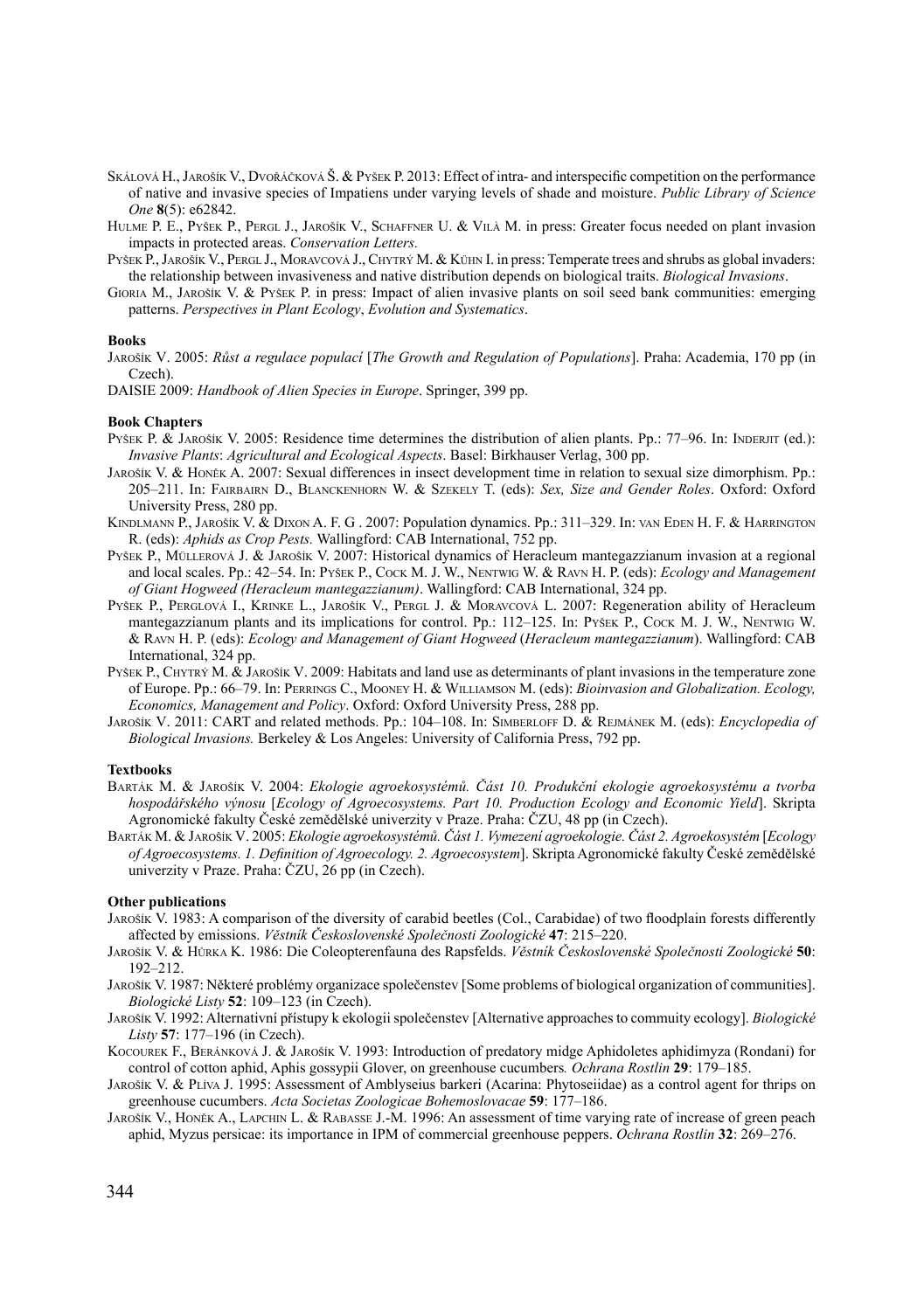- Skálová H., Jarošík V., Dvořáčková Š. & Pyšek P. 2013: Effect of intra- and interspecific competition on the performance of native and invasive species of Impatiens under varying levels of shade and moisture. *Public Library of Science One* **8**(5): e62842.
- HULME P. E., PYŠEK P., PERGL J., JAROŠÍK V., SCHAFFNER U. & VILÀ M. in press: Greater focus needed on plant invasion impacts in protected areas. *Conservation Letters.*
- PYŠEK P., JAROŠÍK V., PERGL J., MORAVCOVÁ J., CHYTRÝ M. & KÜHN I. in press: Temperate trees and shrubs as global invaders: the relationship between invasiveness and native distribution depends on biological traits. *Biological Invasions*.
- Gioria M., Jarošík V. & Pyšek P. in press: Impact of alien invasive plants on soil seed bank communities: emerging patterns. *Perspectives in Plant Ecology*, *Evolution and Systematics*.

### **Books**

Jarošík V. 2005: *Růst a regulace populací* [*The Growth and Regulation of Populations*]. Praha: Academia, 170 pp (in Czech).

DAISIE 2009: *Handbook of Alien Species in Europe*. Springer, 399 pp.

### **Book Chapters**

- Pyšek P. & Jarošík V. 2005: Residence time determines the distribution of alien plants. Pp.: 77–96. In: INDERJIT (ed.): *Invasive Plants*: *Agricultural and Ecological Aspects*. Basel: Birkhauser Verlag, 300 pp.
- Jarošík V. & Honěk A. 2007: Sexual differences in insect development time in relation to sexual size dimorphism. Pp.: 205–211. In: Fairbairn D., Blanckenhorn W. & Szekely T. (eds): *Sex, Size and Gender Roles*. Oxford: Oxford University Press, 280 pp.
- Kindlmann P., Jarošík V. & Dixon A. F. G . 2007: Population dynamics. Pp.: 311–329. In: van Eden H. F. & Harrington R. (eds): *Aphids as Crop Pests.* Wallingford: CAB International, 752 pp.
- Pyšek P., Müllerová J. & Jarošík V. 2007: Historical dynamics of Heracleum mantegazzianum invasion at a regional and local scales. Pp.: 42–54. In: Pyšek P., Cock M. J. W., Nentwig W. & Ravn H. P. (eds): *Ecology and Management of Giant Hogweed (Heracleum mantegazzianum)*. Wallingford: CAB International, 324 pp.
- PYŠEK P., PERGLOVÁ I., KRINKE L., JAROŠÍK V., PERGL J. & MORAVCOVÁ L. 2007: Regeneration ability of Heracleum mantegazzianum plants and its implications for control. Pp.: 112–125. In: Pyšek P., Cock M. J. W., Nentwig W. & Ravn H. P. (eds): *Ecology and Management of Giant Hogweed* (*Heracleum mantegazzianum*). Wallingford: CAB International, 324 pp.
- Pyšek P., Chytry M. & Jarošík V. 2009: Habitats and land use as determinants of plant invasions in the temperature zone of Europe. Pp.: 66–79. In: Perrings C., Mooney H. & Williamson M. (eds): *Bioinvasion and Globalization. Ecology, Economics, Management and Policy*. Oxford: Oxford University Press, 288 pp.
- Jarošík V. 2011: CART and related methods. Pp.: 104–108. In: Simberloff D. & Rejmánek M. (eds): *Encyclopedia of Biological Invasions.* Berkeley & Los Angeles: University of California Press, 792 pp.

### **Textbooks**

- Barták M. & Jarošík V. 2004: *Ekologie agroekosystémů. Část 10. Produkční ekologie agroekosystému a tvorba hospodářského výnosu* [*Ecology of Agroecosystems. Part 10. Production Ecology and Economic Yield*]. Skripta Agronomické fakulty České zemědělské univerzity v Praze. Praha: ČZU, 48 pp (in Czech).
- Barták M. & Jarošík V. 2005: *Ekologie agroekosystémů. Část 1. Vymezení agroekologie. Část 2. Agroekosystém* [*Ecology of Agroecosystems. 1. Definition of Agroecology. 2. Agroecosystem*]. Skripta Agronomické fakulty České zemědělské univerzity v Praze. Praha: ČZU, 26 pp (in Czech).

### **Other publications**

- Jarošík V. 1983: A comparison of the diversity of carabid beetles (Col., Carabidae) of two floodplain forests differently affected by emissions. *Věstník Československé Společnosti Zoologické* **47**: 215–220.
- Jarošík V. & Hůrka K. 1986: Die Coleopterenfauna des Rapsfelds. *Věstník Československé Společnosti Zoologické* **50**: 192–212.
- Jarošík V. 1987: Některé problémy organizace společenstev [Some problems of biological organization of communities]. *Biologické Listy* **52**: 109–123 (in Czech).
- Jarošík V. 1992: Alternativní přístupy k ekologii společenstev [Alternative approaches to commuity ecology]. *Biologické Listy* **57**: 177–196 (in Czech).
- Kocourek F., Beránková J. & Jarošík V. 1993: Introduction of predatory midge Aphidoletes aphidimyza (Rondani) for control of cotton aphid, Aphis gossypii Glover, on greenhouse cucumbers*. Ochrana Rostlin* **29**: 179–185.
- Jarošík V. & Plíva J. 1995: Assessment of Amblyseius barkeri (Acarina: Phytoseiidae) as a control agent for thrips on greenhouse cucumbers. *Acta Societas Zoologicae Bohemoslovacae* **59**: 177–186.
- Jarošík V., Honěk A., Lapchin L. & Rabasse J.-M. 1996: An assessment of time varying rate of increase of green peach aphid, Myzus persicae: its importance in IPM of commercial greenhouse peppers. *Ochrana Rostlin* **32**: 269–276.